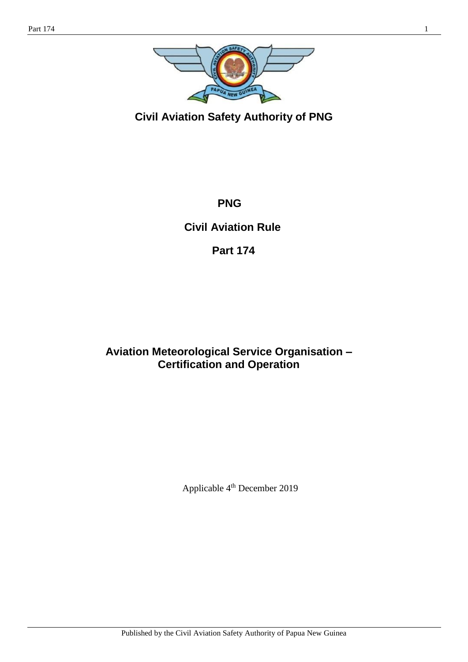

**Civil Aviation Safety Authority of PNG**

**PNG**

**Civil Aviation Rule** 

**Part 174** 

# **Aviation Meteorological Service Organisation – Certification and Operation**

Applicable 4 th December 2019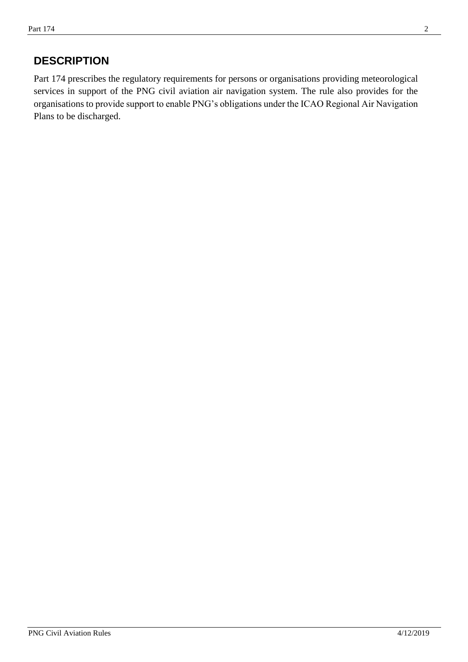## **DESCRIPTION**

Part 174 prescribes the regulatory requirements for persons or organisations providing meteorological services in support of the PNG civil aviation air navigation system. The rule also provides for the organisations to provide support to enable PNG's obligations under the ICAO Regional Air Navigation Plans to be discharged.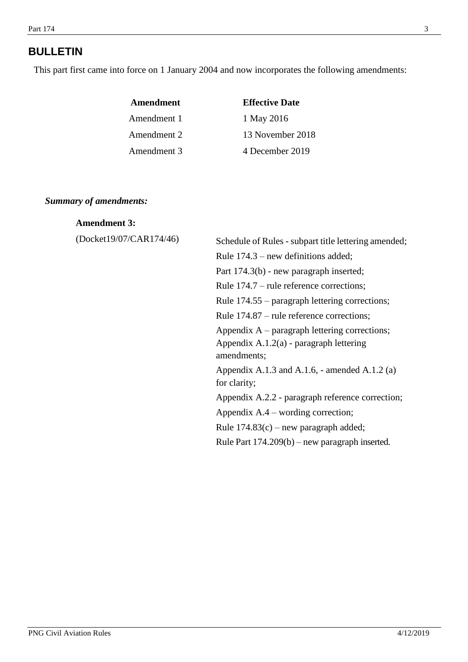# **BULLETIN**

This part first came into force on 1 January 2004 and now incorporates the following amendments:

| Amendment   | <b>Effective Date</b> |
|-------------|-----------------------|
| Amendment 1 | 1 May 2016            |
| Amendment 2 | 13 November 2018      |
| Amendment 3 | 4 December 2019       |

#### *Summary of amendments:*

#### **Amendment 3:**

(Docket19/07/CAR174/46)

| Schedule of Rules - subpart title lettering amended;                                                        |
|-------------------------------------------------------------------------------------------------------------|
| Rule $174.3$ – new definitions added;                                                                       |
| Part 174.3(b) - new paragraph inserted;                                                                     |
| Rule 174.7 – rule reference corrections;                                                                    |
| Rule 174.55 – paragraph lettering corrections;                                                              |
| Rule 174.87 – rule reference corrections;                                                                   |
| Appendix $A$ – paragraph lettering corrections;<br>Appendix $A.1.2(a)$ - paragraph lettering<br>amendments; |
| Appendix A.1.3 and A.1.6, - amended A.1.2 (a)<br>for clarity;                                               |
| Appendix A.2.2 - paragraph reference correction;                                                            |
| Appendix $A.4$ – wording correction;                                                                        |
| Rule $174.83(c)$ – new paragraph added;                                                                     |
| Rule Part $174.209(b)$ – new paragraph inserted.                                                            |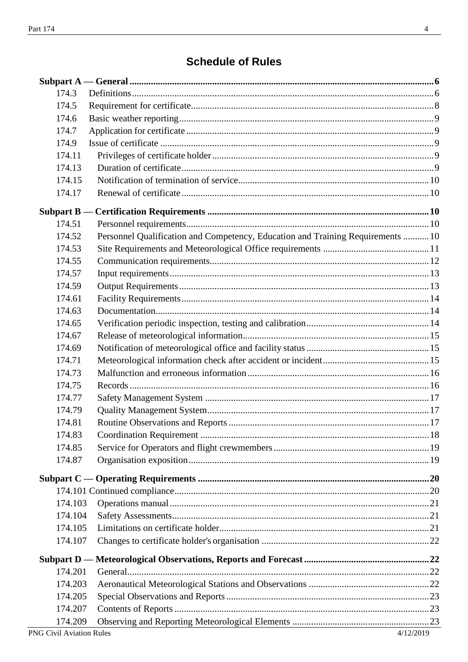# **Schedule of Rules**

| 174.3   |                                                                                 |  |
|---------|---------------------------------------------------------------------------------|--|
| 174.5   |                                                                                 |  |
| 174.6   |                                                                                 |  |
| 174.7   |                                                                                 |  |
| 174.9   |                                                                                 |  |
| 174.11  |                                                                                 |  |
| 174.13  |                                                                                 |  |
| 174.15  |                                                                                 |  |
| 174.17  |                                                                                 |  |
|         |                                                                                 |  |
| 174.51  |                                                                                 |  |
| 174.52  | Personnel Qualification and Competency, Education and Training Requirements  10 |  |
| 174.53  |                                                                                 |  |
| 174.55  |                                                                                 |  |
| 174.57  |                                                                                 |  |
| 174.59  |                                                                                 |  |
| 174.61  |                                                                                 |  |
| 174.63  |                                                                                 |  |
| 174.65  |                                                                                 |  |
| 174.67  |                                                                                 |  |
| 174.69  |                                                                                 |  |
| 174.71  |                                                                                 |  |
| 174.73  |                                                                                 |  |
| 174.75  |                                                                                 |  |
| 174.77  |                                                                                 |  |
| 174.79  |                                                                                 |  |
| 174.81  |                                                                                 |  |
| 174.83  |                                                                                 |  |
| 174.85  |                                                                                 |  |
| 174.87  |                                                                                 |  |
|         |                                                                                 |  |
|         |                                                                                 |  |
|         |                                                                                 |  |
| 174.103 |                                                                                 |  |
| 174.104 |                                                                                 |  |
| 174.105 |                                                                                 |  |
| 174.107 |                                                                                 |  |
|         |                                                                                 |  |
| 174.201 |                                                                                 |  |
| 174.203 |                                                                                 |  |
| 174.205 |                                                                                 |  |
| 174.207 |                                                                                 |  |
| 174.209 |                                                                                 |  |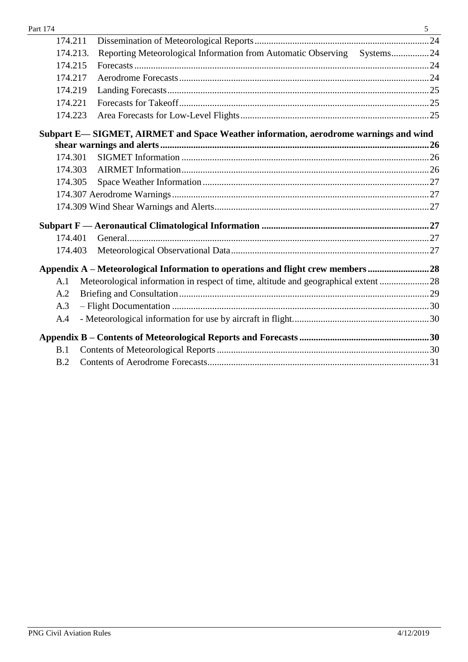| Part 174 |                                                                                     | 5 |
|----------|-------------------------------------------------------------------------------------|---|
| 174.211  |                                                                                     |   |
| 174.213. | Reporting Meteorological Information from Automatic Observing Systems24             |   |
| 174.215  |                                                                                     |   |
| 174.217  |                                                                                     |   |
| 174.219  |                                                                                     |   |
| 174.221  |                                                                                     |   |
| 174.223  |                                                                                     |   |
|          | Subpart E-SIGMET, AIRMET and Space Weather information, aerodrome warnings and wind |   |
|          |                                                                                     |   |
| 174.301  |                                                                                     |   |
| 174.303  |                                                                                     |   |
| 174.305  |                                                                                     |   |
|          |                                                                                     |   |
|          |                                                                                     |   |
|          |                                                                                     |   |
| 174.401  |                                                                                     |   |
| 174.403  |                                                                                     |   |
|          | Appendix A - Meteorological Information to operations and flight crew members28     |   |
| A.1      | Meteorological information in respect of time, altitude and geographical extent 28  |   |
| A.2      |                                                                                     |   |
| A.3      |                                                                                     |   |
| A.4      |                                                                                     |   |
|          |                                                                                     |   |
| B.1      |                                                                                     |   |
| B.2      |                                                                                     |   |
|          |                                                                                     |   |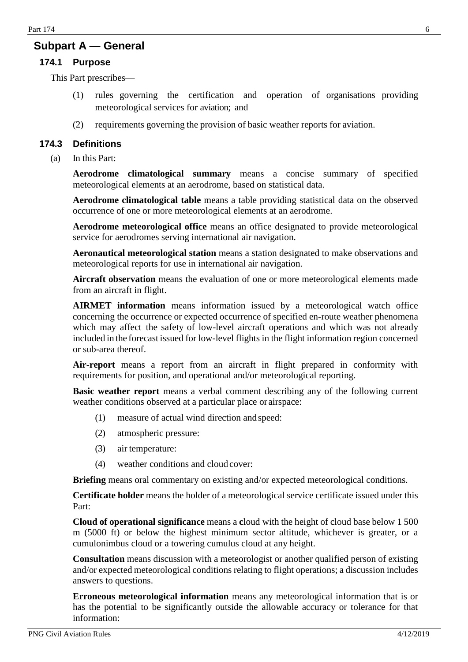## **Subpart A — General**

#### **174.1 Purpose**

This Part prescribes—

- (1) rules governing the certification and operation of organisations providing meteorological services for aviation; and
- (2) requirements governing the provision of basic weather reports for aviation.

#### <span id="page-5-0"></span>**174.3 Definitions**

(a) In this Part:

**Aerodrome climatological summary** means a concise summary of specified meteorological elements at an aerodrome, based on statistical data.

**Aerodrome climatological table** means a table providing statistical data on the observed occurrence of one or more meteorological elements at an aerodrome.

**Aerodrome meteorological office** means an office designated to provide meteorological service for aerodromes serving international air navigation.

**Aeronautical meteorological station** means a station designated to make observations and meteorological reports for use in international air navigation.

**Aircraft observation** means the evaluation of one or more meteorological elements made from an aircraft in flight.

**AIRMET information** means information issued by a meteorological watch office concerning the occurrence or expected occurrence of specified en-route weather phenomena which may affect the safety of low-level aircraft operations and which was not already included in the forecast issued for low-level flights in the flight information region concerned or sub-area thereof.

**Air-report** means a report from an aircraft in flight prepared in conformity with requirements for position, and operational and/or meteorological reporting.

**Basic weather report** means a verbal comment describing any of the following current weather conditions observed at a particular place or airspace:

- (1) measure of actual wind direction andspeed:
- (2) atmospheric pressure:
- (3) air temperature:
- (4) weather conditions and cloud cover:

**Briefing** means oral commentary on existing and/or expected meteorological conditions.

**Certificate holder** means the holder of a meteorological service certificate issued under this Part:

**Cloud of operational significance** means a **c**loud with the height of cloud base below 1 500 m (5000 ft) or below the highest minimum sector altitude, whichever is greater, or a cumulonimbus cloud or a towering cumulus cloud at any height.

**Consultation** means discussion with a meteorologist or another qualified person of existing and/or expected meteorological conditions relating to flight operations; a discussion includes answers to questions.

**Erroneous meteorological information** means any meteorological information that is or has the potential to be significantly outside the allowable accuracy or tolerance for that information: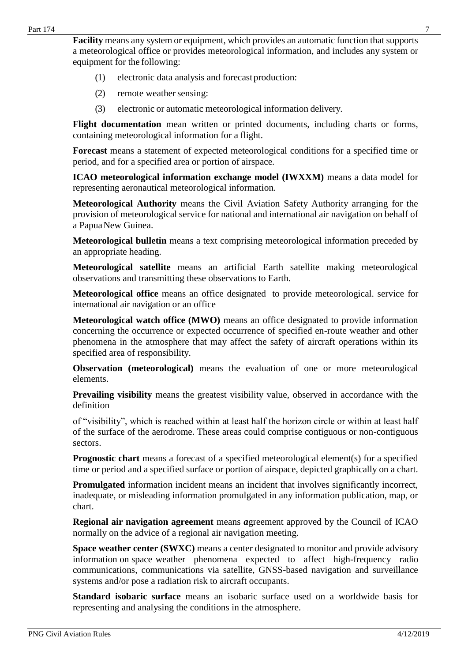**Facility** means any system or equipment, which provides an automatic function that supports a meteorological office or provides meteorological information, and includes any system or equipment for the following:

- (1) electronic data analysis and forecast production:
- $(2)$  remote weather sensing:
- (3) electronic or automatic meteorological information delivery.

**Flight documentation** mean written or printed documents, including charts or forms, containing meteorological information for a flight.

**Forecast** means a statement of expected meteorological conditions for a specified time or period, and for a specified area or portion of airspace.

**ICAO meteorological information exchange model (IWXXM)** means a data model for representing aeronautical meteorological information.

**Meteorological Authority** means the Civil Aviation Safety Authority arranging for the provision of meteorological service for national and international air navigation on behalf of a PapuaNew Guinea.

**Meteorological bulletin** means a text comprising meteorological information preceded by an appropriate heading.

**Meteorological satellite** means an artificial Earth satellite making meteorological observations and transmitting these observations to Earth.

**Meteorological office** means an office designated to provide meteorological. service for international air navigation or an office

**Meteorological watch office (MWO)** means an office designated to provide information concerning the occurrence or expected occurrence of specified en-route weather and other phenomena in the atmosphere that may affect the safety of aircraft operations within its specified area of responsibility.

**Observation (meteorological)** means the evaluation of one or more meteorological elements.

**Prevailing visibility** means the greatest visibility value, observed in accordance with the definition

of "visibility", which is reached within at least half the horizon circle or within at least half of the surface of the aerodrome. These areas could comprise contiguous or non-contiguous sectors.

**Prognostic chart** means a forecast of a specified meteorological element(s) for a specified time or period and a specified surface or portion of airspace, depicted graphically on a chart.

**Promulgated** information incident means an incident that involves significantly incorrect, inadequate, or misleading information promulgated in any information publication, map, or chart.

**Regional air navigation agreement** means *a*greement approved by the Council of ICAO normally on the advice of a regional air navigation meeting.

**Space weather center (SWXC)** means a center designated to monitor and provide advisory information on space weather phenomena expected to affect high-frequency radio communications, communications via satellite, GNSS-based navigation and surveillance systems and/or pose a radiation risk to aircraft occupants.

**Standard isobaric surface** means an isobaric surface used on a worldwide basis for representing and analysing the conditions in the atmosphere.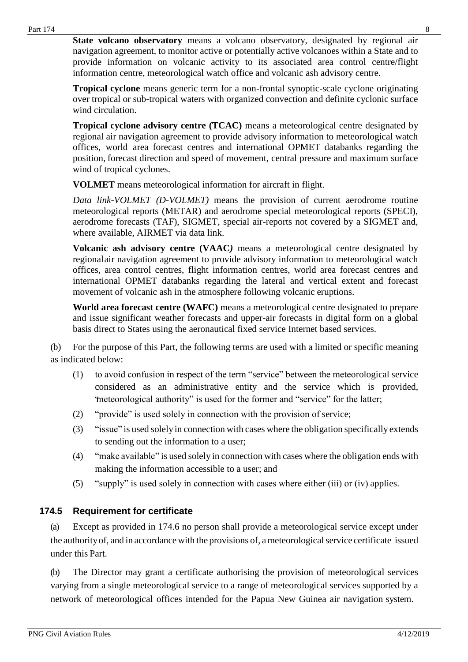**State volcano observatory** means a volcano observatory, designated by regional air navigation agreement, to monitor active or potentially active volcanoes within a State and to provide information on volcanic activity to its associated area control centre/flight information centre, meteorological watch office and volcanic ash advisory centre.

**Tropical cyclone** means generic term for a non-frontal synoptic-scale cyclone originating over tropical or sub-tropical waters with organized convection and definite cyclonic surface wind circulation.

**Tropical cyclone advisory centre (TCAC)** means a meteorological centre designated by regional air navigation agreement to provide advisory information to meteorological watch offices, world area forecast centres and international OPMET databanks regarding the position, forecast direction and speed of movement, central pressure and maximum surface wind of tropical cyclones.

**VOLMET** means meteorological information for aircraft in flight.

*Data link-VOLMET (D-VOLMET)* means the provision of current aerodrome routine meteorological reports (METAR) and aerodrome special meteorological reports (SPECI), aerodrome forecasts (TAF), SIGMET, special air-reports not covered by a SIGMET and, where available, AIRMET via data link.

**Volcanic ash advisory centre (VAAC***)* means a meteorological centre designated by regionalair navigation agreement to provide advisory information to meteorological watch offices, area control centres, flight information centres, world area forecast centres and international OPMET databanks regarding the lateral and vertical extent and forecast movement of volcanic ash in the atmosphere following volcanic eruptions.

**World area forecast centre (WAFC)** means a meteorological centre designated to prepare and issue significant weather forecasts and upper-air forecasts in digital form on a global basis direct to States using the aeronautical fixed service Internet based services.

(b) For the purpose of this Part, the following terms are used with a limited or specific meaning as indicated below:

- (1) to avoid confusion in respect of the term "service" between the meteorological service considered as an administrative entity and the service which is provided, "meteorological authority" is used for the former and "service" for the latter;
- (2) "provide" is used solely in connection with the provision of service;
- (3) "issue" is used solely in connection with cases where the obligation specifically extends to sending out the information to a user;
- (4) "make available" is used solely in connection with cases where the obligation ends with making the information accessible to a user; and
- (5) "supply" is used solely in connection with cases where either (iii) or (iv) applies.

## <span id="page-7-0"></span>**174.5 Requirement for certificate**

(a) Except as provided in 174.6 no person shall provide a meteorological service except under the authority of, and in accordance with the provisions of, a meteorological service certificate issued under this Part.

(b) The Director may grant a certificate authorising the provision of meteorological services varying from a single meteorological service to a range of meteorological services supported by a network of meteorological offices intended for the Papua New Guinea air navigation system.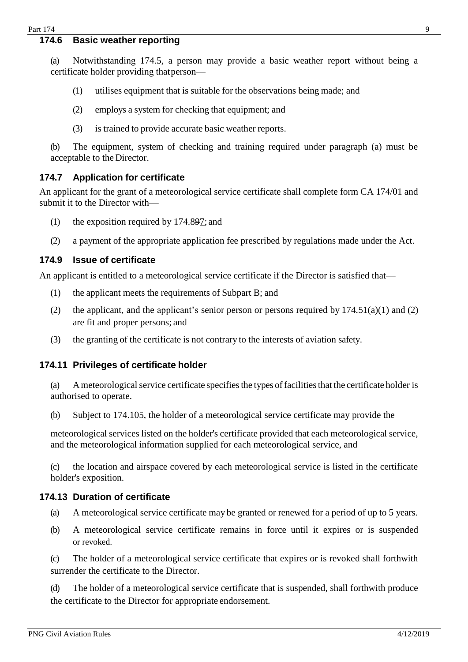#### <span id="page-8-0"></span>**174.6 Basic weather reporting**

(a) Notwithstanding 174.5, a person may provide a basic weather report without being a certificate holder providing thatperson—

- (1) utilises equipment that is suitable for the observations being made; and
- (2) employs a system for checking that equipment; and
- (3) is trained to provide accurate basic weather reports.

(b) The equipment, system of checking and training required under paragraph (a) must be acceptable to the Director.

#### <span id="page-8-1"></span>**174.7 Application for certificate**

An applicant for the grant of a meteorological service certificate shall complete form CA 174/01 and submit it to the Director with—

- (1) the exposition required by 174.897; and
- (2) a payment of the appropriate application fee prescribed by regulations made under the Act.

#### <span id="page-8-2"></span>**174.9 Issue of certificate**

An applicant is entitled to a meteorological service certificate if the Director is satisfied that—

- (1) the applicant meets the requirements of Subpart B; and
- (2) the applicant, and the applicant's senior person or persons required by  $174.51(a)(1)$  and (2) are fit and proper persons; and
- (3) the granting of the certificate is not contrary to the interests of aviation safety.

#### <span id="page-8-3"></span>**174.11 Privileges of certificate holder**

(a) A meteorological service certificate specifies the types of facilities that the certificate holder is authorised to operate.

(b) Subject to 174.105, the holder of a meteorological service certificate may provide the

meteorological services listed on the holder's certificate provided that each meteorological service, and the meteorological information supplied for each meteorological service, and

(c) the location and airspace covered by each meteorological service is listed in the certificate holder's exposition.

#### <span id="page-8-4"></span>**174.13 Duration of certificate**

- (a) A meteorological service certificate may be granted or renewed for a period of up to 5 years.
- (b) A meteorological service certificate remains in force until it expires or is suspended or revoked.

(c) The holder of a meteorological service certificate that expires or is revoked shall forthwith surrender the certificate to the Director.

(d) The holder of a meteorological service certificate that is suspended, shall forthwith produce the certificate to the Director for appropriate endorsement.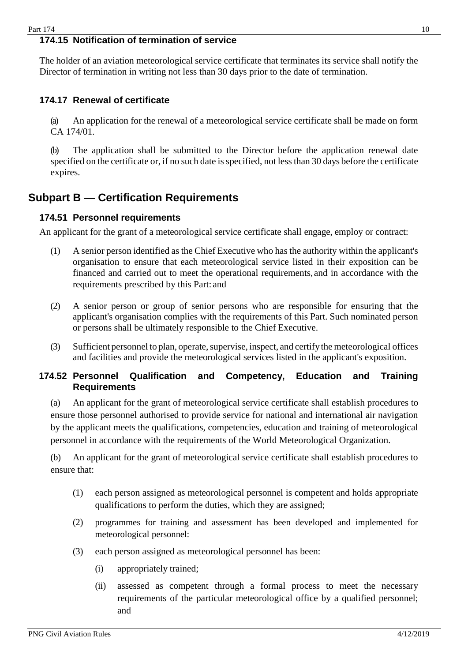## <span id="page-9-1"></span>**174.15 Notification of termination of service**

The holder of an aviation meteorological service certificate that terminates its service shall notify the Director of termination in writing not less than 30 days prior to the date of termination.

#### <span id="page-9-2"></span>**174.17 Renewal of certificate**

(a) An application for the renewal of a meteorological service certificate shall be made on form CA 174/01.

(b) The application shall be submitted to the Director before the application renewal date specified on the certificate or, if no such date is specified, not less than 30 days before the certificate expires.

## <span id="page-9-0"></span>**Subpart B — Certification Requirements**

#### <span id="page-9-3"></span>**174.51 Personnel requirements**

An applicant for the grant of a meteorological service certificate shall engage, employ or contract:

- (1) A senior person identified as the Chief Executive who has the authority within the applicant's organisation to ensure that each meteorological service listed in their exposition can be financed and carried out to meet the operational requirements, and in accordance with the requirements prescribed by this Part: and
- (2) A senior person or group of senior persons who are responsible for ensuring that the applicant's organisation complies with the requirements of this Part. Such nominated person or persons shall be ultimately responsible to the Chief Executive.
- (3) Sufficient personnel to plan, operate, supervise, inspect, and certify the meteorological offices and facilities and provide the meteorological services listed in the applicant's exposition.

#### <span id="page-9-4"></span>**174.52 Personnel Qualification and Competency, Education and Training Requirements**

(a) An applicant for the grant of meteorological service certificate shall establish procedures to ensure those personnel authorised to provide service for national and international air navigation by the applicant meets the qualifications, competencies, education and training of meteorological personnel in accordance with the requirements of the World Meteorological Organization.

(b) An applicant for the grant of meteorological service certificate shall establish procedures to ensure that:

- (1) each person assigned as meteorological personnel is competent and holds appropriate qualifications to perform the duties, which they are assigned;
- (2) programmes for training and assessment has been developed and implemented for meteorological personnel:
- (3) each person assigned as meteorological personnel has been:
	- (i) appropriately trained;
	- (ii) assessed as competent through a formal process to meet the necessary requirements of the particular meteorological office by a qualified personnel; and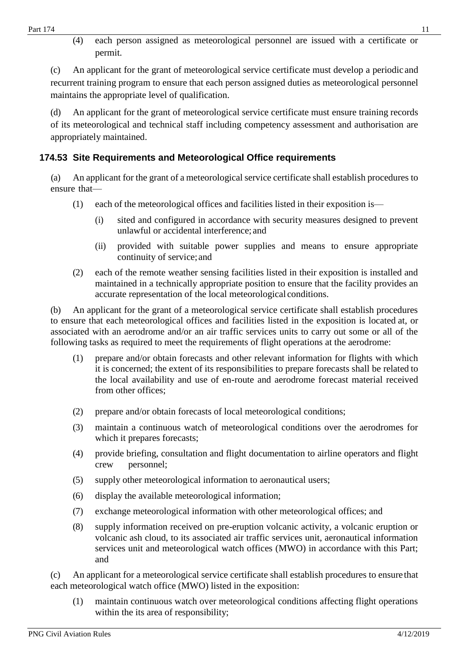(4) each person assigned as meteorological personnel are issued with a certificate or permit.

(c) An applicant for the grant of meteorological service certificate must develop a periodic and recurrent training program to ensure that each person assigned duties as meteorological personnel maintains the appropriate level of qualification.

(d) An applicant for the grant of meteorological service certificate must ensure training records of its meteorological and technical staff including competency assessment and authorisation are appropriately maintained.

## <span id="page-10-0"></span>**174.53 Site Requirements and Meteorological Office requirements**

(a) An applicant for the grant of a meteorological service certificate shall establish procedures to ensure that—

- (1) each of the meteorological offices and facilities listed in their exposition is—
	- (i) sited and configured in accordance with security measures designed to prevent unlawful or accidental interference; and
	- (ii) provided with suitable power supplies and means to ensure appropriate continuity of service;and
- (2) each of the remote weather sensing facilities listed in their exposition is installed and maintained in a technically appropriate position to ensure that the facility provides an accurate representation of the local meteorological conditions.

(b) An applicant for the grant of a meteorological service certificate shall establish procedures to ensure that each meteorological offices and facilities listed in the exposition is located at, or associated with an aerodrome and/or an air traffic services units to carry out some or all of the following tasks as required to meet the requirements of flight operations at the aerodrome:

- (1) prepare and/or obtain forecasts and other relevant information for flights with which it is concerned; the extent of its responsibilities to prepare forecasts shall be related to the local availability and use of en-route and aerodrome forecast material received from other offices;
- (2) prepare and/or obtain forecasts of local meteorological conditions;
- (3) maintain a continuous watch of meteorological conditions over the aerodromes for which it prepares forecasts;
- (4) provide briefing, consultation and flight documentation to airline operators and flight crew personnel;
- (5) supply other meteorological information to aeronautical users;
- (6) display the available meteorological information;
- (7) exchange meteorological information with other meteorological offices; and
- (8) supply information received on pre-eruption volcanic activity, a volcanic eruption or volcanic ash cloud, to its associated air traffic services unit, aeronautical information services unit and meteorological watch offices (MWO) in accordance with this Part; and

(c) An applicant for a meteorological service certificate shall establish procedures to ensure that each meteorological watch office (MWO) listed in the exposition:

(1) maintain continuous watch over meteorological conditions affecting flight operations within the its area of responsibility;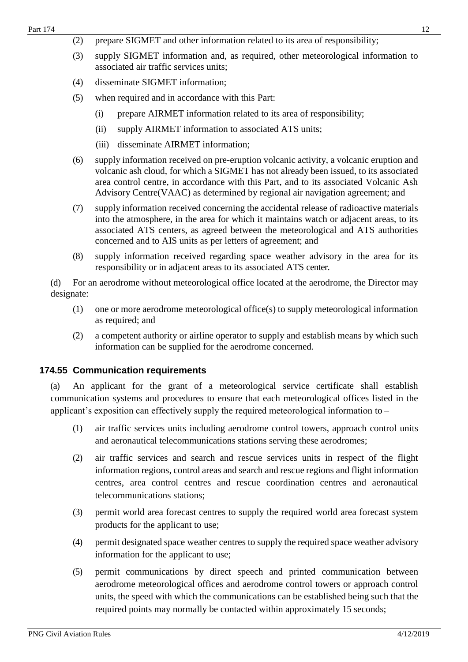- (2) prepare SIGMET and other information related to its area of responsibility;
- (3) supply SIGMET information and, as required, other meteorological information to associated air traffic services units;
- (4) disseminate SIGMET information;
- (5) when required and in accordance with this Part:
	- (i) prepare AIRMET information related to its area of responsibility;
	- (ii) supply AIRMET information to associated ATS units;
	- (iii) disseminate AIRMET information;
- (6) supply information received on pre-eruption volcanic activity, a volcanic eruption and volcanic ash cloud, for which a SIGMET has not already been issued, to its associated area control centre, in accordance with this Part, and to its associated Volcanic Ash Advisory Centre(VAAC) as determined by regional air navigation agreement; and
- (7) supply information received concerning the accidental release of radioactive materials into the atmosphere, in the area for which it maintains watch or adjacent areas, to its associated ATS centers, as agreed between the meteorological and ATS authorities concerned and to AIS units as per letters of agreement; and
- (8) supply information received regarding space weather advisory in the area for its responsibility or in adjacent areas to its associated ATS center.

(d) For an aerodrome without meteorological office located at the aerodrome, the Director may designate:

- (1) one or more aerodrome meteorological office(s) to supply meteorological information as required; and
- (2) a competent authority or airline operator to supply and establish means by which such information can be supplied for the aerodrome concerned.

#### <span id="page-11-0"></span>**174.55 Communication requirements**

(a) An applicant for the grant of a meteorological service certificate shall establish communication systems and procedures to ensure that each meteorological offices listed in the applicant's exposition can effectively supply the required meteorological information to –

- (1) air traffic services units including aerodrome control towers, approach control units and aeronautical telecommunications stations serving these aerodromes;
- (2) air traffic services and search and rescue services units in respect of the flight information regions, control areas and search and rescue regions and flight information centres, area control centres and rescue coordination centres and aeronautical telecommunications stations;
- (3) permit world area forecast centres to supply the required world area forecast system products for the applicant to use;
- (4) permit designated space weather centres to supply the required space weather advisory information for the applicant to use;
- (5) permit communications by direct speech and printed communication between aerodrome meteorological offices and aerodrome control towers or approach control units, the speed with which the communications can be established being such that the required points may normally be contacted within approximately 15 seconds;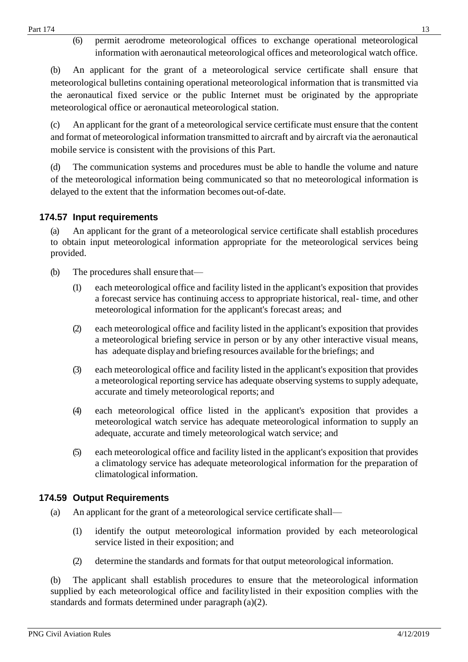(6) permit aerodrome meteorological offices to exchange operational meteorological information with aeronautical meteorological offices and meteorological watch office.

(b) An applicant for the grant of a meteorological service certificate shall ensure that meteorological bulletins containing operational meteorological information that is transmitted via the aeronautical fixed service or the public Internet must be originated by the appropriate meteorological office or aeronautical meteorological station.

(c) An applicant for the grant of a meteorological service certificate must ensure that the content and format of meteorological information transmitted to aircraft and by aircraft via the aeronautical mobile service is consistent with the provisions of this Part.

(d) The communication systems and procedures must be able to handle the volume and nature of the meteorological information being communicated so that no meteorological information is delayed to the extent that the information becomes out-of-date.

## <span id="page-12-0"></span>**174.57 Input requirements**

(a) An applicant for the grant of a meteorological service certificate shall establish procedures to obtain input meteorological information appropriate for the meteorological services being provided.

- (b) The procedures shall ensure that—
	- (1) each meteorological office and facility listed in the applicant's exposition that provides a forecast service has continuing access to appropriate historical, real- time, and other meteorological information for the applicant's forecast areas; and
	- (2) each meteorological office and facility listed in the applicant's exposition that provides a meteorological briefing service in person or by any other interactive visual means, has adequate displayand briefing resources available forthe briefings; and
	- (3) each meteorological office and facility listed in the applicant's exposition that provides a meteorological reporting service has adequate observing systems to supply adequate, accurate and timely meteorological reports; and
	- (4) each meteorological office listed in the applicant's exposition that provides a meteorological watch service has adequate meteorological information to supply an adequate, accurate and timely meteorological watch service; and
	- (5) each meteorological office and facility listed in the applicant's exposition that provides a climatology service has adequate meteorological information for the preparation of climatological information.

## <span id="page-12-1"></span>**174.59 Output Requirements**

- (a) An applicant for the grant of a meteorological service certificate shall—
	- (1) identify the output meteorological information provided by each meteorological service listed in their exposition; and
	- (2) determine the standards and formats for that output meteorological information.

(b) The applicant shall establish procedures to ensure that the meteorological information supplied by each meteorological office and facilitylisted in their exposition complies with the standards and formats determined under paragraph (a)(2).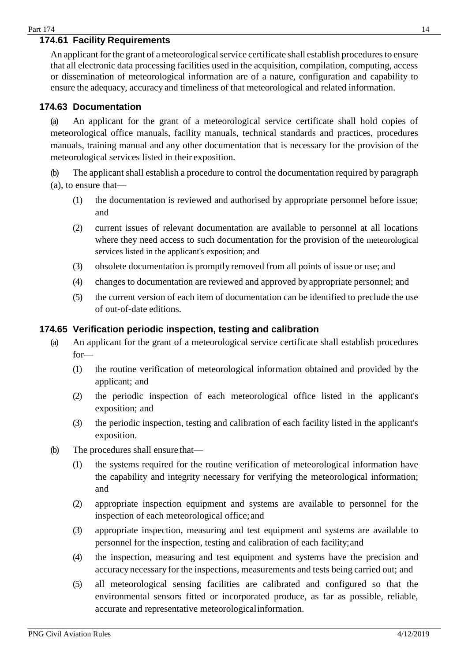## <span id="page-13-0"></span>**174.61 Facility Requirements**

An applicant for the grant of a meteorological service certificate shall establish procedures to ensure that all electronic data processing facilities used in the acquisition, compilation, computing, access or dissemination of meteorological information are of a nature, configuration and capability to ensure the adequacy, accuracy and timeliness of that meteorological and related information.

## <span id="page-13-1"></span>**174.63 Documentation**

(a) An applicant for the grant of a meteorological service certificate shall hold copies of meteorological office manuals, facility manuals, technical standards and practices, procedures manuals, training manual and any other documentation that is necessary for the provision of the meteorological services listed in their exposition.

(b) The applicant shall establish a procedure to control the documentation required by paragraph (a), to ensure that—

- (1) the documentation is reviewed and authorised by appropriate personnel before issue; and
- (2) current issues of relevant documentation are available to personnel at all locations where they need access to such documentation for the provision of the meteorological services listed in the applicant's exposition; and
- (3) obsolete documentation is promptly removed from all points of issue or use; and
- (4) changes to documentation are reviewed and approved by appropriate personnel; and
- (5) the current version of each item of documentation can be identified to preclude the use of out-of-date editions.

#### <span id="page-13-2"></span>**174.65 Verification periodic inspection, testing and calibration**

- (a) An applicant for the grant of a meteorological service certificate shall establish procedures for—
	- (1) the routine verification of meteorological information obtained and provided by the applicant; and
	- (2) the periodic inspection of each meteorological office listed in the applicant's exposition; and
	- (3) the periodic inspection, testing and calibration of each facility listed in the applicant's exposition.
- (b) The procedures shall ensure that—
	- (1) the systems required for the routine verification of meteorological information have the capability and integrity necessary for verifying the meteorological information; and
	- (2) appropriate inspection equipment and systems are available to personnel for the inspection of each meteorological office; and
	- (3) appropriate inspection, measuring and test equipment and systems are available to personnel for the inspection, testing and calibration of each facility;and
	- (4) the inspection, measuring and test equipment and systems have the precision and accuracy necessary for the inspections, measurements and tests being carried out; and
	- (5) all meteorological sensing facilities are calibrated and configured so that the environmental sensors fitted or incorporated produce, as far as possible, reliable, accurate and representative meteorologicalinformation.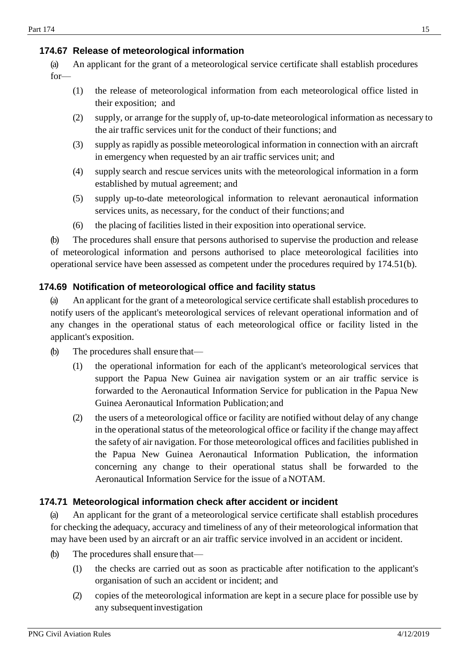## <span id="page-14-0"></span>**174.67 Release of meteorological information**

(a) An applicant for the grant of a meteorological service certificate shall establish procedures for—

- (1) the release of meteorological information from each meteorological office listed in their exposition; and
- (2) supply, or arrange for the supply of, up-to-date meteorological information as necessary to the air traffic services unit for the conduct of their functions; and
- (3) supply as rapidly as possible meteorological information in connection with an aircraft in emergency when requested by an air traffic services unit; and
- (4) supply search and rescue services units with the meteorological information in a form established by mutual agreement; and
- (5) supply up-to-date meteorological information to relevant aeronautical information services units, as necessary, for the conduct of their functions; and
- (6) the placing of facilities listed in their exposition into operational service.

(b) The procedures shall ensure that persons authorised to supervise the production and release of meteorological information and persons authorised to place meteorological facilities into operational service have been assessed as competent under the procedures required by 174.51(b).

## <span id="page-14-1"></span>**174.69 Notification of meteorological office and facility status**

(a) An applicant for the grant of a meteorological service certificate shall establish procedures to notify users of the applicant's meteorological services of relevant operational information and of any changes in the operational status of each meteorological office or facility listed in the applicant's exposition.

- (b) The procedures shall ensure that—
	- (1) the operational information for each of the applicant's meteorological services that support the Papua New Guinea air navigation system or an air traffic service is forwarded to the Aeronautical Information Service for publication in the Papua New Guinea Aeronautical Information Publication; and
	- (2) the users of a meteorological office or facility are notified without delay of any change in the operational status of the meteorological office or facility if the change mayaffect the safety of air navigation. For those meteorological offices and facilities published in the Papua New Guinea Aeronautical Information Publication, the information concerning any change to their operational status shall be forwarded to the Aeronautical Information Service for the issue of a NOTAM.

## <span id="page-14-2"></span>**174.71 Meteorological information check after accident or incident**

(a) An applicant for the grant of a meteorological service certificate shall establish procedures for checking the adequacy, accuracy and timeliness of any of their meteorological information that may have been used by an aircraft or an air traffic service involved in an accident or incident.

- (b) The procedures shall ensure that—
	- (1) the checks are carried out as soon as practicable after notification to the applicant's organisation of such an accident or incident; and
	- (2) copies of the meteorological information are kept in a secure place for possible use by any subsequentinvestigation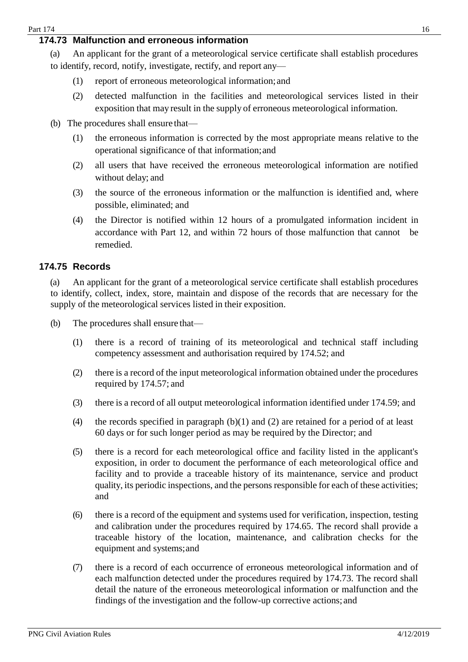## <span id="page-15-0"></span>**174.73 Malfunction and erroneous information**

(a) An applicant for the grant of a meteorological service certificate shall establish procedures to identify, record, notify, investigate, rectify, and report any—

- (1) report of erroneous meteorological information;and
- (2) detected malfunction in the facilities and meteorological services listed in their exposition that may result in the supply of erroneous meteorological information.
- (b) The procedures shall ensure that—
	- (1) the erroneous information is corrected by the most appropriate means relative to the operational significance of that information;and
	- (2) all users that have received the erroneous meteorological information are notified without delay; and
	- (3) the source of the erroneous information or the malfunction is identified and, where possible, eliminated; and
	- (4) the Director is notified within 12 hours of a promulgated information incident in accordance with Part 12, and within 72 hours of those malfunction that cannot be remedied.

#### <span id="page-15-1"></span>**174.75 Records**

(a) An applicant for the grant of a meteorological service certificate shall establish procedures to identify, collect, index, store, maintain and dispose of the records that are necessary for the supply of the meteorological services listed in their exposition.

- (b) The procedures shall ensure that—
	- (1) there is a record of training of its meteorological and technical staff including competency assessment and authorisation required by 174.52; and
	- (2) there is a record of the input meteorological information obtained under the procedures required by 174.57; and
	- (3) there is a record of all output meteorological information identified under 174.59; and
	- (4) the records specified in paragraph  $(b)(1)$  and  $(2)$  are retained for a period of at least 60 days or for such longer period as may be required by the Director; and
	- (5) there is a record for each meteorological office and facility listed in the applicant's exposition, in order to document the performance of each meteorological office and facility and to provide a traceable history of its maintenance, service and product quality, its periodic inspections, and the persons responsible for each of these activities; and
	- (6) there is a record of the equipment and systems used for verification, inspection, testing and calibration under the procedures required by 174.65. The record shall provide a traceable history of the location, maintenance, and calibration checks for the equipment and systems;and
	- (7) there is a record of each occurrence of erroneous meteorological information and of each malfunction detected under the procedures required by 174.73. The record shall detail the nature of the erroneous meteorological information or malfunction and the findings of the investigation and the follow-up corrective actions; and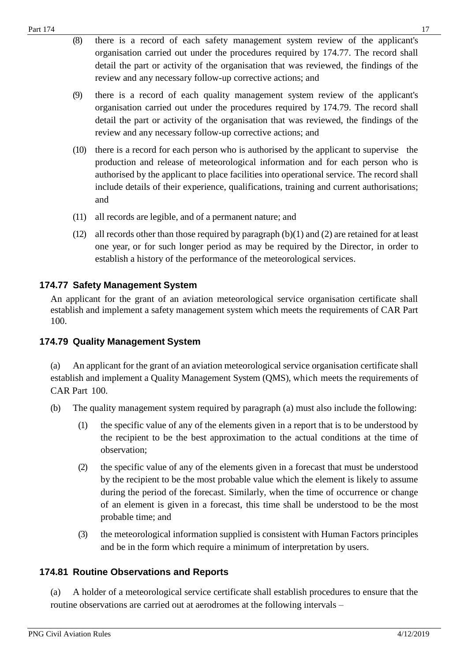- (8) there is a record of each safety management system review of the applicant's organisation carried out under the procedures required by 174.77. The record shall detail the part or activity of the organisation that was reviewed, the findings of the review and any necessary follow-up corrective actions; and
- (9) there is a record of each quality management system review of the applicant's organisation carried out under the procedures required by 174.79. The record shall detail the part or activity of the organisation that was reviewed, the findings of the review and any necessary follow-up corrective actions; and
- (10) there is a record for each person who is authorised by the applicant to supervise the production and release of meteorological information and for each person who is authorised by the applicant to place facilities into operational service. The record shall include details of their experience, qualifications, training and current authorisations; and
- (11) all records are legible, and of a permanent nature; and
- (12) all records other than those required by paragraph (b)(1) and (2) are retained for at least one year, or for such longer period as may be required by the Director, in order to establish a history of the performance of the meteorological services.

## <span id="page-16-0"></span>**174.77 Safety Management System**

An applicant for the grant of an aviation meteorological service organisation certificate shall establish and implement a safety management system which meets the requirements of CAR Part 100.

## <span id="page-16-1"></span>**174.79 Quality Management System**

(a) An applicant for the grant of an aviation meteorological service organisation certificate shall establish and implement a Quality Management System (QMS), which meets the requirements of CAR Part 100.

- (b) The quality management system required by paragraph (a) must also include the following:
	- (1) the specific value of any of the elements given in a report that is to be understood by the recipient to be the best approximation to the actual conditions at the time of observation;
	- (2) the specific value of any of the elements given in a forecast that must be understood by the recipient to be the most probable value which the element is likely to assume during the period of the forecast. Similarly, when the time of occurrence or change of an element is given in a forecast, this time shall be understood to be the most probable time; and
	- (3) the meteorological information supplied is consistent with Human Factors principles and be in the form which require a minimum of interpretation by users.

## <span id="page-16-2"></span>**174.81 Routine Observations and Reports**

(a) A holder of a meteorological service certificate shall establish procedures to ensure that the routine observations are carried out at aerodromes at the following intervals –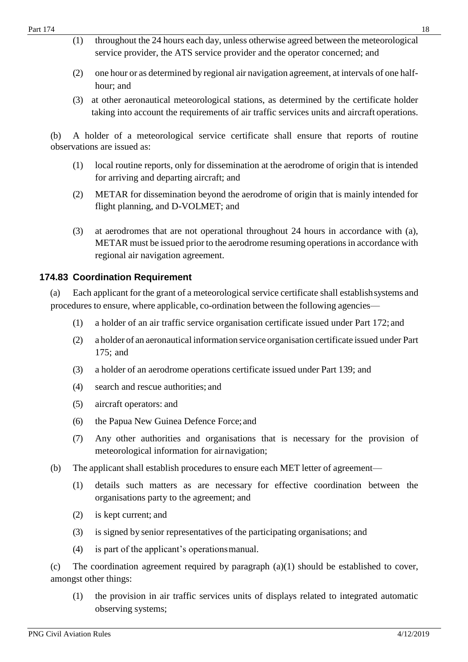- (1) throughout the 24 hours each day, unless otherwise agreed between the meteorological service provider, the ATS service provider and the operator concerned; and
- (2) one hour or as determined by regional air navigation agreement, at intervals of one halfhour; and
- (3) at other aeronautical meteorological stations, as determined by the certificate holder taking into account the requirements of air traffic services units and aircraft operations.

(b) A holder of a meteorological service certificate shall ensure that reports of routine observations are issued as:

- (1) local routine reports, only for dissemination at the aerodrome of origin that is intended for arriving and departing aircraft; and
- (2) METAR for dissemination beyond the aerodrome of origin that is mainly intended for flight planning, and D-VOLMET; and
- (3) at aerodromes that are not operational throughout 24 hours in accordance with (a), METAR must be issued prior to the aerodrome resuming operations in accordance with regional air navigation agreement.

#### <span id="page-17-0"></span>**174.83 Coordination Requirement**

(a) Each applicant for the grant of a meteorological service certificate shall establishsystems and procedures to ensure, where applicable, co-ordination between the following agencies—

- (1) a holder of an air traffic service organisation certificate issued under Part 172; and
- (2) a holder of an aeronautical information service organisation certificate issued under Part 175; and
- (3) a holder of an aerodrome operations certificate issued under Part 139; and
- (4) search and rescue authorities; and
- (5) aircraft operators: and
- (6) the Papua New Guinea Defence Force; and
- (7) Any other authorities and organisations that is necessary for the provision of meteorological information for airnavigation;
- (b) The applicant shall establish procedures to ensure each MET letter of agreement—
	- (1) details such matters as are necessary for effective coordination between the organisations party to the agreement; and
	- (2) is kept current; and
	- (3) is signed by senior representatives of the participating organisations; and
	- (4) is part of the applicant's operationsmanual.

(c) The coordination agreement required by paragraph (a)(1) should be established to cover, amongst other things:

(1) the provision in air traffic services units of displays related to integrated automatic observing systems;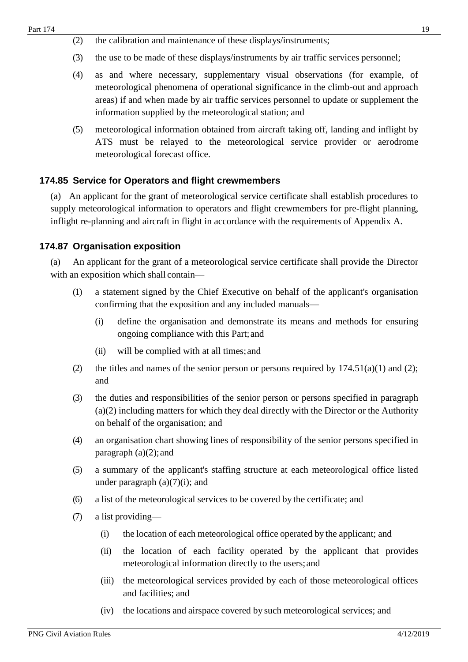- (2) the calibration and maintenance of these displays/instruments;
- (3) the use to be made of these displays/instruments by air traffic services personnel;
- (4) as and where necessary, supplementary visual observations (for example, of meteorological phenomena of operational significance in the climb-out and approach areas) if and when made by air traffic services personnel to update or supplement the information supplied by the meteorological station; and
- (5) meteorological information obtained from aircraft taking off, landing and inflight by ATS must be relayed to the meteorological service provider or aerodrome meteorological forecast office.

#### <span id="page-18-0"></span>**174.85 Service for Operators and flight crewmembers**

(a) An applicant for the grant of meteorological service certificate shall establish procedures to supply meteorological information to operators and flight crewmembers for pre-flight planning, inflight re-planning and aircraft in flight in accordance with the requirements of Appendix A.

#### <span id="page-18-1"></span>**174.87 Organisation exposition**

(a) An applicant for the grant of a meteorological service certificate shall provide the Director with an exposition which shall contain—

- (1) a statement signed by the Chief Executive on behalf of the applicant's organisation confirming that the exposition and any included manuals—
	- (i) define the organisation and demonstrate its means and methods for ensuring ongoing compliance with this Part; and
	- (ii) will be complied with at all times;and
- (2) the titles and names of the senior person or persons required by  $174.51(a)(1)$  and (2); and
- (3) the duties and responsibilities of the senior person or persons specified in paragraph (a)(2) including matters for which they deal directly with the Director or the Authority on behalf of the organisation; and
- (4) an organisation chart showing lines of responsibility of the senior persons specified in paragraph  $(a)(2)$ ; and
- (5) a summary of the applicant's staffing structure at each meteorological office listed under paragraph  $(a)(7)(i)$ ; and
- (6) a list of the meteorological services to be covered by the certificate; and
- (7) a list providing—
	- (i) the location of each meteorological office operated by the applicant; and
	- (ii) the location of each facility operated by the applicant that provides meteorological information directly to the users;and
	- (iii) the meteorological services provided by each of those meteorological offices and facilities; and
	- (iv) the locations and airspace covered by such meteorological services; and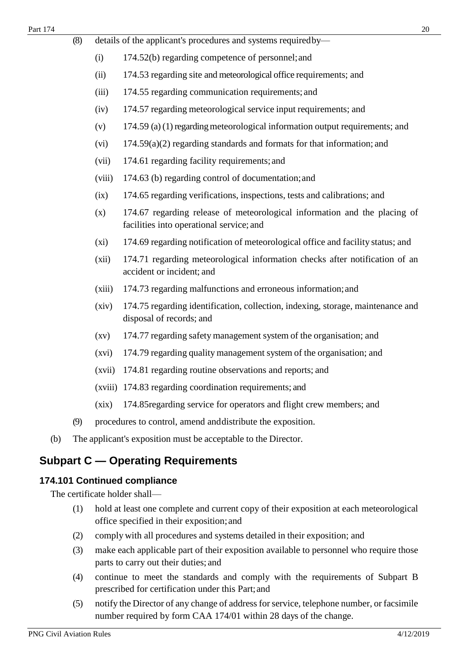- (8) details of the applicant's procedures and systems requiredby—
	- (i) 174.52(b) regarding competence of personnel;and
	- (ii) 174.53 regarding site and meteorological office requirements; and
	- (iii) 174.55 regarding communication requirements; and
	- (iv) 174.57 regarding meteorological service input requirements; and
	- (v)  $174.59$  (a) (1) regarding meteorological information output requirements; and
	- (vi) 174.59(a)(2) regarding standards and formats for that information; and
	- (vii) 174.61 regarding facility requirements; and
	- (viii) 174.63 (b) regarding control of documentation;and
	- (ix) 174.65 regarding verifications, inspections, tests and calibrations; and
	- (x) 174.67 regarding release of meteorological information and the placing of facilities into operational service; and
	- (xi) 174.69 regarding notification of meteorological office and facility status; and
	- (xii) 174.71 regarding meteorological information checks after notification of an accident or incident; and
	- (xiii) 174.73 regarding malfunctions and erroneous information;and
	- (xiv) 174.75 regarding identification, collection, indexing, storage, maintenance and disposal of records; and
	- (xv) 174.77 regarding safety management system of the organisation; and
	- (xvi) 174.79 regarding quality management system of the organisation; and
	- (xvii) 174.81 regarding routine observations and reports; and
	- (xviii) 174.83 regarding coordination requirements; and
	- (xix) 174.85regarding service for operators and flight crew members; and
- (9) procedures to control, amend anddistribute the exposition.
- (b) The applicant's exposition must be acceptable to the Director.

# <span id="page-19-0"></span>**Subpart C — Operating Requirements**

## <span id="page-19-1"></span>**174.101 Continued compliance**

The certificate holder shall—

- (1) hold at least one complete and current copy of their exposition at each meteorological office specified in their exposition; and
- (2) comply with all procedures and systems detailed in their exposition; and
- (3) make each applicable part of their exposition available to personnel who require those parts to carry out their duties; and
- (4) continue to meet the standards and comply with the requirements of Subpart B prescribed for certification under this Part;and
- (5) notify the Director of any change of address for service, telephone number, or facsimile number required by form CAA 174/01 within 28 days of the change.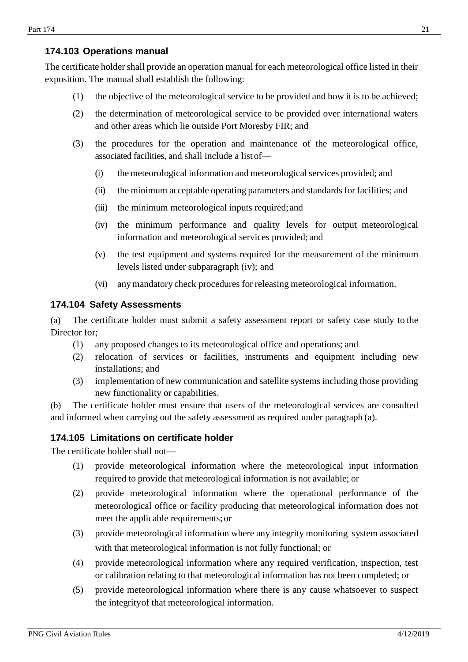## <span id="page-20-0"></span>**174.103 Operations manual**

The certificate holder shall provide an operation manual for each meteorological office listed in their exposition. The manual shall establish the following:

- (1) the objective of the meteorological service to be provided and how it is to be achieved;
- (2) the determination of meteorological service to be provided over international waters and other areas which lie outside Port Moresby FIR; and
- (3) the procedures for the operation and maintenance of the meteorological office, associated facilities, and shall include a listof—
	- (i) the meteorological information and meteorologicalservices provided; and
	- (ii) the minimum acceptable operating parameters and standards for facilities; and
	- (iii) the minimum meteorological inputs required;and
	- (iv) the minimum performance and quality levels for output meteorological information and meteorological services provided; and
	- (v) the test equipment and systems required for the measurement of the minimum levels listed under subparagraph (iv); and
	- (vi) anymandatory check procedures for releasing meteorological information.

#### <span id="page-20-1"></span>**174.104 Safety Assessments**

(a) The certificate holder must submit a safety assessment report or safety case study to the Director for;

- (1) any proposed changes to its meteorological office and operations; and
- (2) relocation of services or facilities, instruments and equipment including new installations; and
- (3) implementation of new communication and satellite systems including those providing new functionality or capabilities.

(b) The certificate holder must ensure that users of the meteorological services are consulted and informed when carrying out the safety assessment as required under paragraph (a).

## <span id="page-20-2"></span>**174.105 Limitations on certificate holder**

The certificate holder shall not—

- (1) provide meteorological information where the meteorological input information required to provide that meteorological information is not available; or
- (2) provide meteorological information where the operational performance of the meteorological office or facility producing that meteorological information does not meet the applicable requirements;or
- (3) provide meteorological information where any integrity monitoring system associated with that meteorological information is not fully functional; or
- (4) provide meteorological information where any required verification, inspection, test or calibration relating to that meteorological information has not been completed; or
- (5) provide meteorological information where there is any cause whatsoever to suspect the integrityof that meteorological information.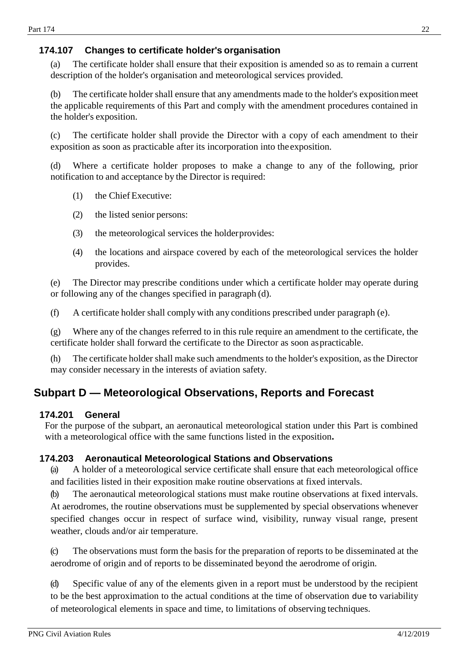## <span id="page-21-0"></span>**174.107 Changes to certificate holder's organisation**

(a) The certificate holder shall ensure that their exposition is amended so as to remain a current description of the holder's organisation and meteorological services provided.

(b) The certificate holder shall ensure that any amendments made to the holder's expositionmeet the applicable requirements of this Part and comply with the amendment procedures contained in the holder's exposition.

(c) The certificate holder shall provide the Director with a copy of each amendment to their exposition as soon as practicable after its incorporation into theexposition.

(d) Where a certificate holder proposes to make a change to any of the following, prior notification to and acceptance by the Director is required:

- (1) the Chief Executive:
- (2) the listed senior persons:
- (3) the meteorological services the holderprovides:
- (4) the locations and airspace covered by each of the meteorological services the holder provides.

(e) The Director may prescribe conditions under which a certificate holder may operate during or following any of the changes specified in paragraph (d).

(f) A certificate holder shall comply with any conditions prescribed under paragraph (e).

(g) Where any of the changes referred to in this rule require an amendment to the certificate, the certificate holder shall forward the certificate to the Director as soon aspracticable.

(h) The certificate holder shall make such amendments to the holder's exposition, as the Director may consider necessary in the interests of aviation safety.

# <span id="page-21-1"></span>**Subpart D — Meteorological Observations, Reports and Forecast**

#### <span id="page-21-2"></span>**174.201 General**

For the purpose of the subpart, an aeronautical meteorological station under this Part is combined with a meteorological office with the same functions listed in the exposition**.**

#### <span id="page-21-3"></span>**174.203 Aeronautical Meteorological Stations and Observations**

(a) A holder of a meteorological service certificate shall ensure that each meteorological office and facilities listed in their exposition make routine observations at fixed intervals.

(b) The aeronautical meteorological stations must make routine observations at fixed intervals. At aerodromes, the routine observations must be supplemented by special observations whenever specified changes occur in respect of surface wind, visibility, runway visual range, present weather, clouds and/or air temperature.

(c) The observations must form the basis for the preparation of reports to be disseminated at the aerodrome of origin and of reports to be disseminated beyond the aerodrome of origin.

(d) Specific value of any of the elements given in a report must be understood by the recipient to be the best approximation to the actual conditions at the time of observation due to variability of meteorological elements in space and time, to limitations of observing techniques.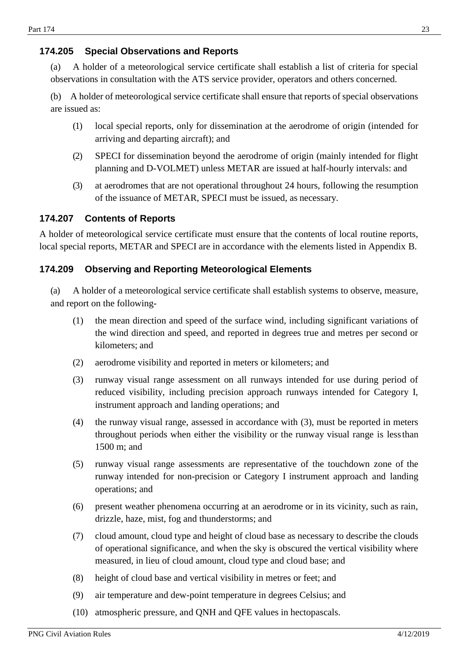## <span id="page-22-0"></span>**174.205 Special Observations and Reports**

(a) A holder of a meteorological service certificate shall establish a list of criteria for special observations in consultation with the ATS service provider, operators and others concerned.

(b) A holder of meteorological service certificate shall ensure that reports of special observations are issued as:

- (1) local special reports, only for dissemination at the aerodrome of origin (intended for arriving and departing aircraft); and
- (2) SPECI for dissemination beyond the aerodrome of origin (mainly intended for flight planning and D-VOLMET) unless METAR are issued at half-hourly intervals: and
- (3) at aerodromes that are not operational throughout 24 hours, following the resumption of the issuance of METAR, SPECI must be issued, as necessary.

#### <span id="page-22-1"></span>**174.207 Contents of Reports**

A holder of meteorological service certificate must ensure that the contents of local routine reports, local special reports, METAR and SPECI are in accordance with the elements listed in Appendix B.

#### <span id="page-22-2"></span>**174.209 Observing and Reporting Meteorological Elements**

(a) A holder of a meteorological service certificate shall establish systems to observe, measure, and report on the following-

- (1) the mean direction and speed of the surface wind, including significant variations of the wind direction and speed, and reported in degrees true and metres per second or kilometers; and
- (2) aerodrome visibility and reported in meters or kilometers; and
- (3) runway visual range assessment on all runways intended for use during period of reduced visibility, including precision approach runways intended for Category I, instrument approach and landing operations; and
- (4) the runway visual range, assessed in accordance with (3), must be reported in meters throughout periods when either the visibility or the runway visual range is lessthan 1500 m; and
- (5) runway visual range assessments are representative of the touchdown zone of the runway intended for non-precision or Category I instrument approach and landing operations; and
- (6) present weather phenomena occurring at an aerodrome or in its vicinity, such as rain, drizzle, haze, mist, fog and thunderstorms; and
- (7) cloud amount, cloud type and height of cloud base as necessary to describe the clouds of operational significance, and when the sky is obscured the vertical visibility where measured, in lieu of cloud amount, cloud type and cloud base; and
- (8) height of cloud base and vertical visibility in metres or feet; and
- (9) air temperature and dew-point temperature in degrees Celsius; and
- (10) atmospheric pressure, and QNH and QFE values in hectopascals.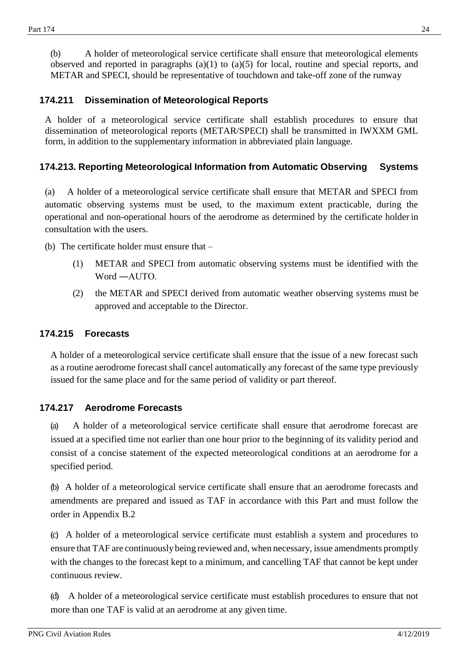(b) A holder of meteorological service certificate shall ensure that meteorological elements observed and reported in paragraphs (a)(1) to (a)(5) for local, routine and special reports, and METAR and SPECI, should be representative of touchdown and take-off zone of the runway

#### <span id="page-23-0"></span>**174.211 Dissemination of Meteorological Reports**

A holder of a meteorological service certificate shall establish procedures to ensure that dissemination of meteorological reports (METAR/SPECI) shall be transmitted in IWXXM GML form, in addition to the supplementary information in abbreviated plain language.

## <span id="page-23-1"></span>**174.213. Reporting Meteorological Information from Automatic Observing Systems**

(a) A holder of a meteorological service certificate shall ensure that METAR and SPECI from automatic observing systems must be used, to the maximum extent practicable, during the operational and non-operational hours of the aerodrome as determined by the certificate holderin consultation with the users.

(b) The certificate holder must ensure that –

- (1) METAR and SPECI from automatic observing systems must be identified with the Word ―AUTO.
- (2) the METAR and SPECI derived from automatic weather observing systems must be approved and acceptable to the Director.

#### <span id="page-23-2"></span>**174.215 Forecasts**

A holder of a meteorological service certificate shall ensure that the issue of a new forecast such as a routine aerodrome forecast shall cancel automatically any forecast of the same type previously issued for the same place and for the same period of validity or part thereof.

#### <span id="page-23-3"></span>**174.217 Aerodrome Forecasts**

(a) A holder of a meteorological service certificate shall ensure that aerodrome forecast are issued at a specified time not earlier than one hour prior to the beginning of its validity period and consist of a concise statement of the expected meteorological conditions at an aerodrome for a specified period.

(b) A holder of a meteorological service certificate shall ensure that an aerodrome forecasts and amendments are prepared and issued as TAF in accordance with this Part and must follow the order in Appendix B.2

(c) A holder of a meteorological service certificate must establish a system and procedures to ensure that TAF are continuouslybeing reviewed and, when necessary, issue amendments promptly with the changes to the forecast kept to a minimum, and cancelling TAF that cannot be kept under continuous review.

(d) A holder of a meteorological service certificate must establish procedures to ensure that not more than one TAF is valid at an aerodrome at any given time.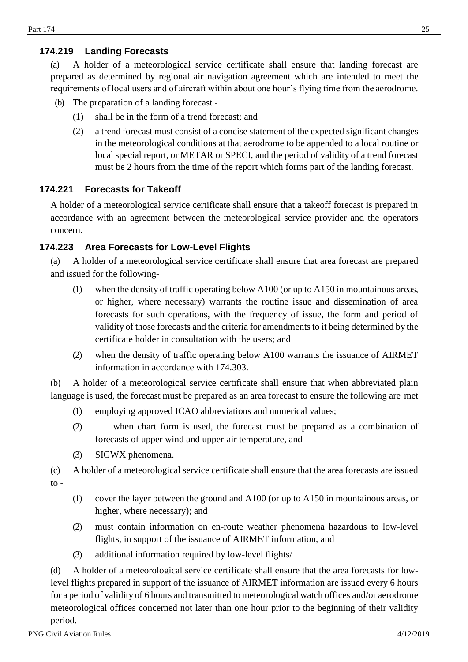## <span id="page-24-0"></span>**174.219 Landing Forecasts**

(a) A holder of a meteorological service certificate shall ensure that landing forecast are prepared as determined by regional air navigation agreement which are intended to meet the requirements of local users and of aircraft within about one hour's flying time from the aerodrome.

- (b) The preparation of a landing forecast
	- (1) shall be in the form of a trend forecast; and
	- (2) a trend forecast must consist of a concise statement of the expected significant changes in the meteorological conditions at that aerodrome to be appended to a local routine or local special report, or METAR or SPECI, and the period of validity of a trend forecast must be 2 hours from the time of the report which forms part of the landing forecast.

## <span id="page-24-1"></span>**174.221 Forecasts for Takeoff**

A holder of a meteorological service certificate shall ensure that a takeoff forecast is prepared in accordance with an agreement between the meteorological service provider and the operators concern.

## <span id="page-24-2"></span>**174.223 Area Forecasts for Low-Level Flights**

(a) A holder of a meteorological service certificate shall ensure that area forecast are prepared and issued for the following-

- (1) when the density of traffic operating below A100 (or up to A150 in mountainous areas, or higher, where necessary) warrants the routine issue and dissemination of area forecasts for such operations, with the frequency of issue, the form and period of validity of those forecasts and the criteria for amendments to it being determined by the certificate holder in consultation with the users; and
- (2) when the density of traffic operating below A100 warrants the issuance of AIRMET information in accordance with 174.303.

(b) A holder of a meteorological service certificate shall ensure that when abbreviated plain language is used, the forecast must be prepared as an area forecast to ensure the following are met

- (1) employing approved ICAO abbreviations and numerical values;
- (2) when chart form is used, the forecast must be prepared as a combination of forecasts of upper wind and upper-air temperature, and
- (3) SIGWX phenomena.

(c) A holder of a meteorological service certificate shall ensure that the area forecasts are issued  $\mathbf{to}$  -

- (1) cover the layer between the ground and A100 (or up to A150 in mountainous areas, or higher, where necessary); and
- (2) must contain information on en-route weather phenomena hazardous to low-level flights, in support of the issuance of AIRMET information, and
- (3) additional information required by low-level flights/

(d) A holder of a meteorological service certificate shall ensure that the area forecasts for lowlevel flights prepared in support of the issuance of AIRMET information are issued every 6 hours for a period of validity of 6 hours and transmitted to meteorological watch offices and/or aerodrome meteorological offices concerned not later than one hour prior to the beginning of their validity period.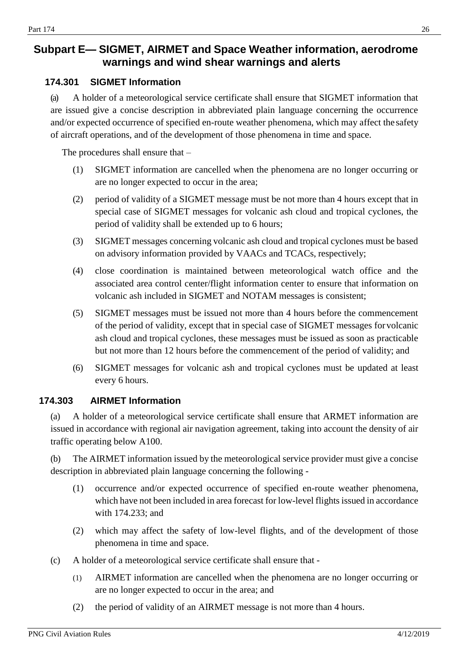# <span id="page-25-0"></span>**Subpart E— SIGMET, AIRMET and Space Weather information, aerodrome warnings and wind shear warnings and alerts**

#### <span id="page-25-1"></span>**174.301 SIGMET Information**

(a) A holder of a meteorological service certificate shall ensure that SIGMET information that are issued give a concise description in abbreviated plain language concerning the occurrence and/or expected occurrence of specified en-route weather phenomena, which may affect the safety of aircraft operations, and of the development of those phenomena in time and space.

The procedures shall ensure that –

- (1) SIGMET information are cancelled when the phenomena are no longer occurring or are no longer expected to occur in the area;
- (2) period of validity of a SIGMET message must be not more than 4 hours except that in special case of SIGMET messages for volcanic ash cloud and tropical cyclones, the period of validity shall be extended up to 6 hours;
- (3) SIGMET messages concerning volcanic ash cloud and tropical cyclones must be based on advisory information provided by VAACs and TCACs, respectively;
- (4) close coordination is maintained between meteorological watch office and the associated area control center/flight information center to ensure that information on volcanic ash included in SIGMET and NOTAM messages is consistent;
- (5) SIGMET messages must be issued not more than 4 hours before the commencement of the period of validity, except that in special case of SIGMET messages forvolcanic ash cloud and tropical cyclones, these messages must be issued as soon as practicable but not more than 12 hours before the commencement of the period of validity; and
- (6) SIGMET messages for volcanic ash and tropical cyclones must be updated at least every 6 hours.

## <span id="page-25-2"></span>**174.303 AIRMET Information**

(a) A holder of a meteorological service certificate shall ensure that ARMET information are issued in accordance with regional air navigation agreement, taking into account the density of air traffic operating below A100.

(b) The AIRMET information issued by the meteorological service provider must give a concise description in abbreviated plain language concerning the following -

- (1) occurrence and/or expected occurrence of specified en-route weather phenomena, which have not been included in area forecast for low-level flights issued in accordance with 174.233; and
- (2) which may affect the safety of low-level flights, and of the development of those phenomena in time and space.
- (c) A holder of a meteorological service certificate shall ensure that
	- (1) AIRMET information are cancelled when the phenomena are no longer occurring or are no longer expected to occur in the area; and
	- (2) the period of validity of an AIRMET message is not more than 4 hours.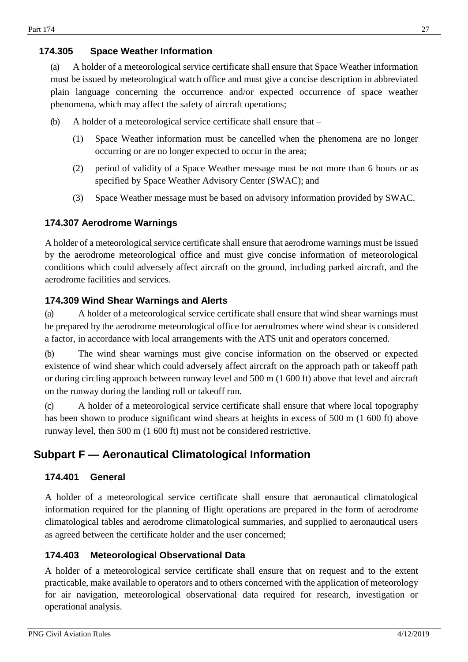## <span id="page-26-0"></span>**174.305 Space Weather Information**

(a) A holder of a meteorological service certificate shall ensure that Space Weather information must be issued by meteorological watch office and must give a concise description in abbreviated plain language concerning the occurrence and/or expected occurrence of space weather phenomena, which may affect the safety of aircraft operations;

- (b) A holder of a meteorological service certificate shall ensure that
	- (1) Space Weather information must be cancelled when the phenomena are no longer occurring or are no longer expected to occur in the area;
	- (2) period of validity of a Space Weather message must be not more than 6 hours or as specified by Space Weather Advisory Center (SWAC); and
	- (3) Space Weather message must be based on advisory information provided by SWAC.

## <span id="page-26-1"></span>**174.307 Aerodrome Warnings**

A holder of a meteorological service certificate shall ensure that aerodrome warnings must be issued by the aerodrome meteorological office and must give concise information of meteorological conditions which could adversely affect aircraft on the ground, including parked aircraft, and the aerodrome facilities and services.

## <span id="page-26-2"></span>**174.309 Wind Shear Warnings and Alerts**

(a) A holder of a meteorological service certificate shall ensure that wind shear warnings must be prepared by the aerodrome meteorological office for aerodromes where wind shear is considered a factor, in accordance with local arrangements with the ATS unit and operators concerned.

(b) The wind shear warnings must give concise information on the observed or expected existence of wind shear which could adversely affect aircraft on the approach path or takeoff path or during circling approach between runway level and 500 m (1 600 ft) above that level and aircraft on the runway during the landing roll or takeoff run.

(c) A holder of a meteorological service certificate shall ensure that where local topography has been shown to produce significant wind shears at heights in excess of 500 m (1 600 ft) above runway level, then 500 m (1 600 ft) must not be considered restrictive.

# <span id="page-26-3"></span>**Subpart F — Aeronautical Climatological Information**

#### <span id="page-26-4"></span>**174.401 General**

A holder of a meteorological service certificate shall ensure that aeronautical climatological information required for the planning of flight operations are prepared in the form of aerodrome climatological tables and aerodrome climatological summaries, and supplied to aeronautical users as agreed between the certificate holder and the user concerned;

## <span id="page-26-5"></span>**174.403 Meteorological Observational Data**

A holder of a meteorological service certificate shall ensure that on request and to the extent practicable, make available to operators and to others concerned with the application of meteorology for air navigation, meteorological observational data required for research, investigation or operational analysis.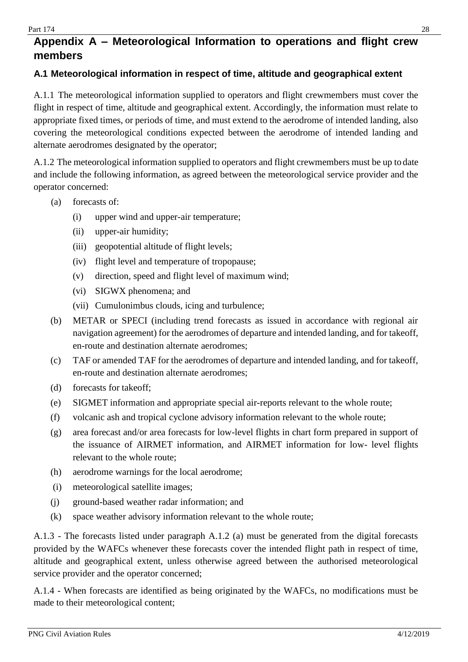# <span id="page-27-0"></span>**Appendix A – Meteorological Information to operations and flight crew members**

#### <span id="page-27-1"></span>**A.1 Meteorological information in respect of time, altitude and geographical extent**

A.1.1 The meteorological information supplied to operators and flight crewmembers must cover the flight in respect of time, altitude and geographical extent. Accordingly, the information must relate to appropriate fixed times, or periods of time, and must extend to the aerodrome of intended landing, also covering the meteorological conditions expected between the aerodrome of intended landing and alternate aerodromes designated by the operator;

A.1.2 The meteorological information supplied to operators and flight crewmembers must be up to date and include the following information, as agreed between the meteorological service provider and the operator concerned:

- (a) forecasts of:
	- (i) upper wind and upper-air temperature;
	- (ii) upper-air humidity;
	- (iii) geopotential altitude of flight levels;
	- (iv) flight level and temperature of tropopause;
	- (v) direction, speed and flight level of maximum wind;
	- (vi) SIGWX phenomena; and
	- (vii) Cumulonimbus clouds, icing and turbulence;
- (b) METAR or SPECI (including trend forecasts as issued in accordance with regional air navigation agreement) for the aerodromes of departure and intended landing, and for takeoff, en-route and destination alternate aerodromes;
- (c) TAF or amended TAF for the aerodromes of departure and intended landing, and for takeoff, en-route and destination alternate aerodromes;
- (d) forecasts for takeoff;
- (e) SIGMET information and appropriate special air-reports relevant to the whole route;
- (f) volcanic ash and tropical cyclone advisory information relevant to the whole route;
- (g) area forecast and/or area forecasts for low-level flights in chart form prepared in support of the issuance of AIRMET information, and AIRMET information for low- level flights relevant to the whole route;
- (h) aerodrome warnings for the local aerodrome;
- (i) meteorological satellite images;
- (j) ground-based weather radar information; and
- (k) space weather advisory information relevant to the whole route;

A.1.3 - The forecasts listed under paragraph A.1.2 (a) must be generated from the digital forecasts provided by the WAFCs whenever these forecasts cover the intended flight path in respect of time, altitude and geographical extent, unless otherwise agreed between the authorised meteorological service provider and the operator concerned;

A.1.4 - When forecasts are identified as being originated by the WAFCs, no modifications must be made to their meteorological content;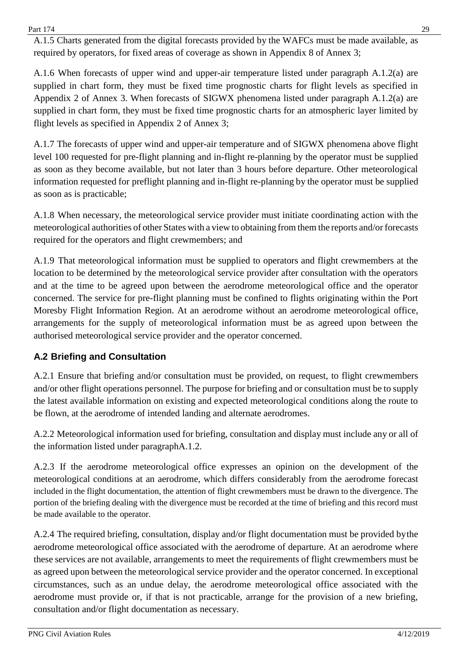$Part 174$  29

A.1.5 Charts generated from the digital forecasts provided by the WAFCs must be made available, as required by operators, for fixed areas of coverage as shown in Appendix 8 of Annex 3;

A.1.6 When forecasts of upper wind and upper-air temperature listed under paragraph A.1.2(a) are supplied in chart form, they must be fixed time prognostic charts for flight levels as specified in Appendix 2 of Annex 3. When forecasts of SIGWX phenomena listed under paragraph A.1.2(a) are supplied in chart form, they must be fixed time prognostic charts for an atmospheric layer limited by flight levels as specified in Appendix 2 of Annex 3;

A.1.7 The forecasts of upper wind and upper-air temperature and of SIGWX phenomena above flight level 100 requested for pre-flight planning and in-flight re-planning by the operator must be supplied as soon as they become available, but not later than 3 hours before departure. Other meteorological information requested for preflight planning and in-flight re-planning by the operator must be supplied as soon as is practicable;

A.1.8 When necessary, the meteorological service provider must initiate coordinating action with the meteorological authorities of other States with a view to obtaining from them the reports and/or forecasts required for the operators and flight crewmembers; and

A.1.9 That meteorological information must be supplied to operators and flight crewmembers at the location to be determined by the meteorological service provider after consultation with the operators and at the time to be agreed upon between the aerodrome meteorological office and the operator concerned. The service for pre-flight planning must be confined to flights originating within the Port Moresby Flight Information Region. At an aerodrome without an aerodrome meteorological office, arrangements for the supply of meteorological information must be as agreed upon between the authorised meteorological service provider and the operator concerned.

## <span id="page-28-0"></span>**A.2 Briefing and Consultation**

A.2.1 Ensure that briefing and/or consultation must be provided, on request, to flight crewmembers and/or other flight operations personnel. The purpose for briefing and or consultation must be to supply the latest available information on existing and expected meteorological conditions along the route to be flown, at the aerodrome of intended landing and alternate aerodromes.

A.2.2 Meteorological information used for briefing, consultation and display must include any or all of the information listed under paragraphA.1.2.

A.2.3 If the aerodrome meteorological office expresses an opinion on the development of the meteorological conditions at an aerodrome, which differs considerably from the aerodrome forecast included in the flight documentation, the attention of flight crewmembers must be drawn to the divergence. The portion of the briefing dealing with the divergence must be recorded at the time of briefing and this record must be made available to the operator.

A.2.4 The required briefing, consultation, display and/or flight documentation must be provided bythe aerodrome meteorological office associated with the aerodrome of departure. At an aerodrome where these services are not available, arrangements to meet the requirements of flight crewmembers must be as agreed upon between the meteorological service provider and the operator concerned. In exceptional circumstances, such as an undue delay, the aerodrome meteorological office associated with the aerodrome must provide or, if that is not practicable, arrange for the provision of a new briefing, consultation and/or flight documentation as necessary.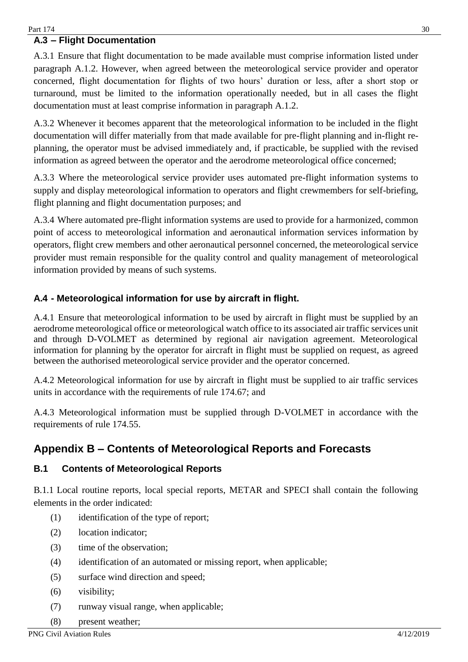## <span id="page-29-0"></span>**A.3 – Flight Documentation**

A.3.1 Ensure that flight documentation to be made available must comprise information listed under paragraph A.1.2. However, when agreed between the meteorological service provider and operator concerned, flight documentation for flights of two hours' duration or less, after a short stop or turnaround, must be limited to the information operationally needed, but in all cases the flight documentation must at least comprise information in paragraph A.1.2.

A.3.2 Whenever it becomes apparent that the meteorological information to be included in the flight documentation will differ materially from that made available for pre-flight planning and in-flight replanning, the operator must be advised immediately and, if practicable, be supplied with the revised information as agreed between the operator and the aerodrome meteorological office concerned;

A.3.3 Where the meteorological service provider uses automated pre-flight information systems to supply and display meteorological information to operators and flight crewmembers for self-briefing, flight planning and flight documentation purposes; and

A.3.4 Where automated pre-flight information systems are used to provide for a harmonized, common point of access to meteorological information and aeronautical information services information by operators, flight crew members and other aeronautical personnel concerned, the meteorological service provider must remain responsible for the quality control and quality management of meteorological information provided by means of such systems.

## <span id="page-29-1"></span>**A.4 - Meteorological information for use by aircraft in flight.**

A.4.1 Ensure that meteorological information to be used by aircraft in flight must be supplied by an aerodrome meteorological office or meteorological watch office to its associated air traffic services unit and through D-VOLMET as determined by regional air navigation agreement. Meteorological information for planning by the operator for aircraft in flight must be supplied on request, as agreed between the authorised meteorological service provider and the operator concerned.

A.4.2 Meteorological information for use by aircraft in flight must be supplied to air traffic services units in accordance with the requirements of rule 174.67; and

A.4.3 Meteorological information must be supplied through D-VOLMET in accordance with the requirements of rule 174.55.

# <span id="page-29-2"></span>**Appendix B – Contents of Meteorological Reports and Forecasts**

## <span id="page-29-3"></span>**B.1 Contents of Meteorological Reports**

B.1.1 Local routine reports, local special reports, METAR and SPECI shall contain the following elements in the order indicated:

- (1) identification of the type of report;
- (2) location indicator;
- (3) time of the observation;
- (4) identification of an automated or missing report, when applicable;
- (5) surface wind direction and speed;
- (6) visibility;
- (7) runway visual range, when applicable;
- (8) present weather;